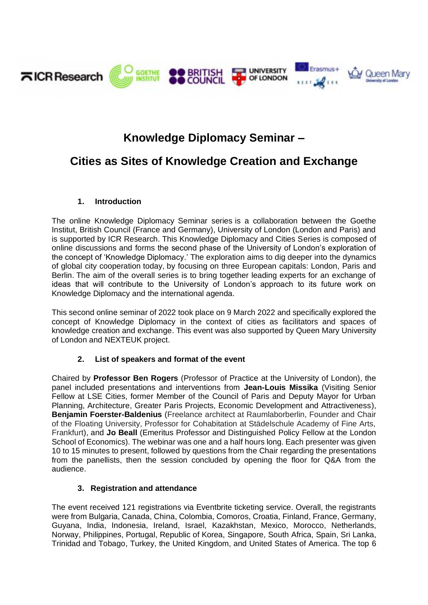

# **Knowledge Diplomacy Seminar –**

# **Cities as Sites of Knowledge Creation and Exchange**

### **1. Introduction**

The online Knowledge Diplomacy Seminar series is a collaboration between the Goethe Institut, British Council (France and Germany), University of London (London and Paris) and is supported by ICR Research. This Knowledge Diplomacy and Cities Series is composed of online discussions and forms the second phase of the University of London's exploration of the concept of 'Knowledge Diplomacy.' The exploration aims to dig deeper into the dynamics of global city cooperation today, by focusing on three European capitals: London, Paris and Berlin. The aim of the overall series is to bring together leading experts for an exchange of ideas that will contribute to the University of London's approach to its future work on Knowledge Diplomacy and the international agenda.

This second online seminar of 2022 took place on 9 March 2022 and specifically explored the concept of Knowledge Diplomacy in the context of cities as facilitators and spaces of knowledge creation and exchange. This event was also supported by Queen Mary University of London and NEXTEUK project.

# **2. List of speakers and format of the event**

Chaired by **Professor Ben Rogers** (Professor of Practice at the University of London), the panel included presentations and interventions from **Jean-Louis Missika** (Visiting Senior Fellow at LSE Cities, former Member of the Council of Paris and Deputy Mayor for Urban Planning, Architecture, Greater Paris Projects, Economic Development and Attractiveness), **Benjamin Foerster-Baldenius** (Freelance architect at Raumlaborberlin, Founder and Chair of the Floating University, Professor for Cohabitation at Städelschule Academy of Fine Arts, Frankfurt), and **Jo Beall** (Emeritus Professor and Distinguished Policy Fellow at the London School of Economics). The webinar was one and a half hours long. Each presenter was given 10 to 15 minutes to present, followed by questions from the Chair regarding the presentations from the panellists, then the session concluded by opening the floor for Q&A from the audience.

# **3. Registration and attendance**

The event received 121 registrations via Eventbrite ticketing service. Overall, the registrants were from Bulgaria, Canada, China, Colombia, Comoros, Croatia, Finland, France, Germany, Guyana, India, Indonesia, Ireland, Israel, Kazakhstan, Mexico, Morocco, Netherlands, Norway, Philippines, Portugal, Republic of Korea, Singapore, South Africa, Spain, Sri Lanka, Trinidad and Tobago, Turkey, the United Kingdom, and United States of America. The top 6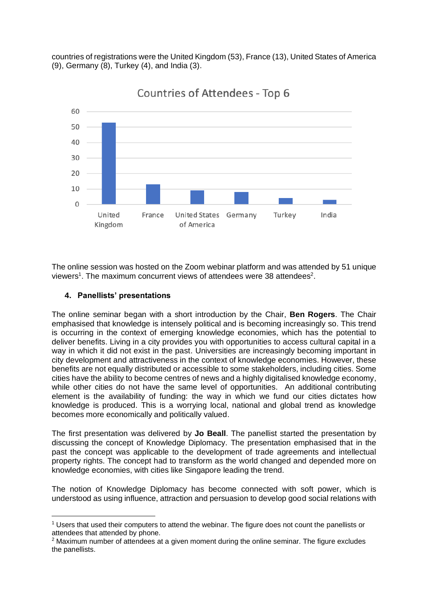countries of registrations were the United Kingdom (53), France (13), United States of America (9), Germany (8), Turkey (4), and India (3).



**Countries of Attendees - Top 6** 

The online session was hosted on the Zoom webinar platform and was attended by 51 unique viewers<sup>1</sup>. The maximum concurrent views of attendees were 38 attendees<sup>2</sup>.

### **4. Panellists' presentations**

The online seminar began with a short introduction by the Chair, **Ben Rogers**. The Chair emphasised that knowledge is intensely political and is becoming increasingly so. This trend is occurring in the context of emerging knowledge economies, which has the potential to deliver benefits. Living in a city provides you with opportunities to access cultural capital in a way in which it did not exist in the past. Universities are increasingly becoming important in city development and attractiveness in the context of knowledge economies. However, these benefits are not equally distributed or accessible to some stakeholders, including cities. Some cities have the ability to become centres of news and a highly digitalised knowledge economy, while other cities do not have the same level of opportunities. An additional contributing element is the availability of funding: the way in which we fund our cities dictates how knowledge is produced. This is a worrying local, national and global trend as knowledge becomes more economically and politically valued.

The first presentation was delivered by **Jo Beall**. The panellist started the presentation by discussing the concept of Knowledge Diplomacy. The presentation emphasised that in the past the concept was applicable to the development of trade agreements and intellectual property rights. The concept had to transform as the world changed and depended more on knowledge economies, with cities like Singapore leading the trend.

The notion of Knowledge Diplomacy has become connected with soft power, which is understood as using influence, attraction and persuasion to develop good social relations with

<sup>1</sup> Users that used their computers to attend the webinar. The figure does not count the panellists or attendees that attended by phone.

 $2$  Maximum number of attendees at a given moment during the online seminar. The figure excludes the panellists.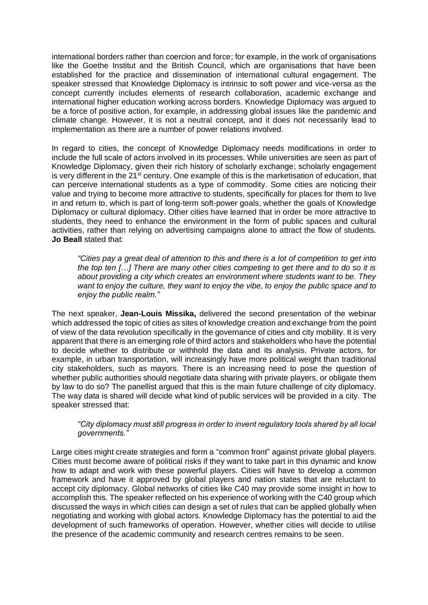international borders rather than coercion and force; for example, in the work of organisations like the Goethe Institut and the British Council, which are organisations that have been established for the practice and dissemination of international cultural engagement. The speaker stressed that Knowledge Diplomacy is intrinsic to soft power and vice-versa as the concept currently includes elements of research collaboration, academic exchange and international higher education working across borders. Knowledge Diplomacy was argued to be a force of positive action, for example, in addressing global issues like the pandemic and climate change. However, it is not a neutral concept, and it does not necessarily lead to implementation as there are a number of power relations involved.

In regard to cities, the concept of Knowledge Diplomacy needs modifications in order to include the full scale of actors involved in its processes. While universities are seen as part of Knowledge Diplomacy, given their rich history of scholarly exchange; scholarly engagement is very different in the  $21^{st}$  century. One example of this is the marketisation of education, that can perceive international students as a type of commodity. Some cities are noticing their value and trying to become more attractive to students, specifically for places for them to live in and return to, which is part of long-term soft-power goals, whether the goals of Knowledge Diplomacy or cultural diplomacy. Other cities have learned that in order be more attractive to students, they need to enhance the environment in the form of public spaces and cultural activities, rather than relying on advertising campaigns alone to attract the flow of students. **Jo Beall** stated that:

*"Cities pay a great deal of attention to this and there is a lot of competition to get into the top ten […] There are many other cities competing to get there and to do so it is about providing a city which creates an environment where students want to be. They want to enjoy the culture, they want to enjoy the vibe, to enjoy the public space and to enjoy the public realm."*

The next speaker, **Jean-Louis Missika,** delivered the second presentation of the webinar which addressed the topic of cities as sites of knowledge creation and exchange from the point of view of the data revolution specifically in the governance of cities and city mobility. It is very apparent that there is an emerging role of third actors and stakeholders who have the potential to decide whether to distribute or withhold the data and its analysis. Private actors, for example, in urban transportation, will increasingly have more political weight than traditional city stakeholders, such as mayors. There is an increasing need to pose the question of whether public authorities should negotiate data sharing with private players, or obligate them by law to do so? The panellist argued that this is the main future challenge of city diplomacy. The way data is shared will decide what kind of public services will be provided in a city. The speaker stressed that:

#### *"City diplomacy must still progress in order to invent regulatory tools shared by all local governments."*

Large cities might create strategies and form a "common front" against private global players. Cities must become aware of political risks if they want to take part in this dynamic and know how to adapt and work with these powerful players. Cities will have to develop a common framework and have it approved by global players and nation states that are reluctant to accept city diplomacy. Global networks of cities like C40 may provide some insight in how to accomplish this. The speaker reflected on his experience of working with the C40 group which discussed the ways in which cities can design a set of rules that can be applied globally when negotiating and working with global actors. Knowledge Diplomacy has the potential to aid the development of such frameworks of operation. However, whether cities will decide to utilise the presence of the academic community and research centres remains to be seen.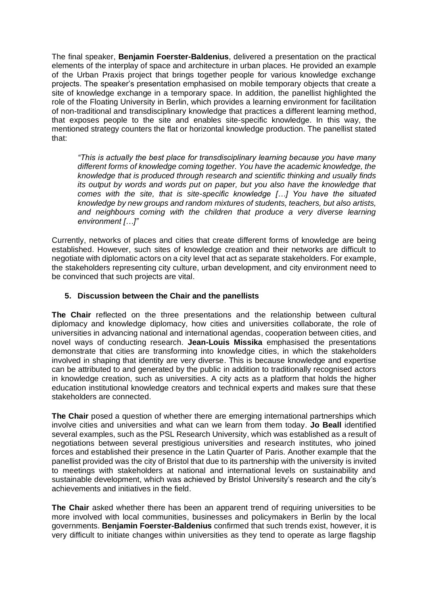The final speaker, **Benjamin Foerster-Baldenius**, delivered a presentation on the practical elements of the interplay of space and architecture in urban places. He provided an example of the Urban Praxis project that brings together people for various knowledge exchange projects. The speaker's presentation emphasised on mobile temporary objects that create a site of knowledge exchange in a temporary space. In addition, the panellist highlighted the role of the Floating University in Berlin, which provides a learning environment for facilitation of non-traditional and transdisciplinary knowledge that practices a different learning method, that exposes people to the site and enables site-specific knowledge. In this way, the mentioned strategy counters the flat or horizontal knowledge production. The panellist stated that:

*"This is actually the best place for transdisciplinary learning because you have many different forms of knowledge coming together. You have the academic knowledge, the knowledge that is produced through research and scientific thinking and usually finds its output by words and words put on paper, but you also have the knowledge that comes with the site, that is site-specific knowledge […] You have the situated knowledge by new groups and random mixtures of students, teachers, but also artists, and neighbours coming with the children that produce a very diverse learning environment […]"*

Currently, networks of places and cities that create different forms of knowledge are being established. However, such sites of knowledge creation and their networks are difficult to negotiate with diplomatic actors on a city level that act as separate stakeholders. For example, the stakeholders representing city culture, urban development, and city environment need to be convinced that such projects are vital.

### **5. Discussion between the Chair and the panellists**

**The Chair** reflected on the three presentations and the relationship between cultural diplomacy and knowledge diplomacy, how cities and universities collaborate, the role of universities in advancing national and international agendas, cooperation between cities, and novel ways of conducting research. **Jean-Louis Missika** emphasised the presentations demonstrate that cities are transforming into knowledge cities, in which the stakeholders involved in shaping that identity are very diverse. This is because knowledge and expertise can be attributed to and generated by the public in addition to traditionally recognised actors in knowledge creation, such as universities. A city acts as a platform that holds the higher education institutional knowledge creators and technical experts and makes sure that these stakeholders are connected.

**The Chair** posed a question of whether there are emerging international partnerships which involve cities and universities and what can we learn from them today. **Jo Beall** identified several examples, such as the PSL Research University, which was established as a result of negotiations between several prestigious universities and research institutes, who joined forces and established their presence in the Latin Quarter of Paris. Another example that the panellist provided was the city of Bristol that due to its partnership with the university is invited to meetings with stakeholders at national and international levels on sustainability and sustainable development, which was achieved by Bristol University's research and the city's achievements and initiatives in the field.

**The Chair** asked whether there has been an apparent trend of requiring universities to be more involved with local communities, businesses and policymakers in Berlin by the local governments. **Benjamin Foerster-Baldenius** confirmed that such trends exist, however, it is very difficult to initiate changes within universities as they tend to operate as large flagship